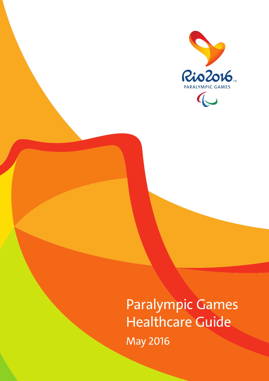

### Paralympic Games Healthcare Guide May 2016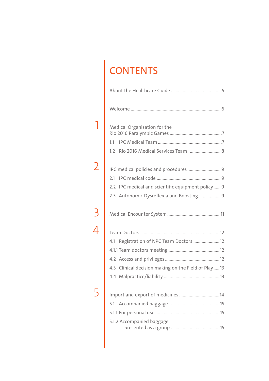### CONTENTS

|   | Medical Organisation for the                          |  |
|---|-------------------------------------------------------|--|
|   | 1.1                                                   |  |
|   | 1.2 Rio 2016 Medical Services Team  8                 |  |
|   | IPC medical policies and procedures  9                |  |
|   |                                                       |  |
|   | 2.2 IPC medical and scientific equipment policy 9     |  |
|   | 2.3 Autonomic Dysreflexia and Boosting 9              |  |
| 3 |                                                       |  |
|   |                                                       |  |
|   | 4.1 Registration of NPC Team Doctors  12              |  |
|   |                                                       |  |
|   |                                                       |  |
|   | 4.3 Clinical decision making on the Field of Play  13 |  |
|   |                                                       |  |
|   |                                                       |  |
|   | 5.1                                                   |  |
|   |                                                       |  |
|   | 5.1.2 Accompanied baggage                             |  |
|   |                                                       |  |
|   |                                                       |  |

### 2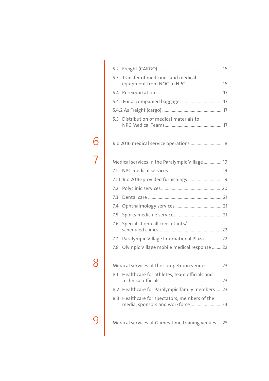| 5.3 | Transfer of medicines and medical<br>equipment from NOC to NPC 16                  |  |
|-----|------------------------------------------------------------------------------------|--|
|     |                                                                                    |  |
|     |                                                                                    |  |
|     |                                                                                    |  |
|     | 5.5 Distribution of medical materials to                                           |  |
|     |                                                                                    |  |
|     | Medical services in the Paralympic Village 19                                      |  |
| 7.1 |                                                                                    |  |
|     | 7.1.1 Rio 2016-provided furnishings 19                                             |  |
| 7.2 |                                                                                    |  |
| 7.3 |                                                                                    |  |
| 7.4 |                                                                                    |  |
| 7.5 |                                                                                    |  |
| 7.6 | Specialist on-call consultants/                                                    |  |
| 7.7 | Paralympic Village International Plaza  22                                         |  |
| 7.8 | Olympic Village mobile medical response  22                                        |  |
|     | Medical services at the competition venues  23                                     |  |
| 8.1 | Healthcare for athletes, team officials and                                        |  |
|     | 8.2 Healthcare for Paralympic family members  23                                   |  |
|     | 8.3 Healthcare for spectators, members of the<br>media, sponsors and workforce  24 |  |
|     |                                                                                    |  |

7 6

8

**9** [Medical services at Games-time training venues](#page-24-0) .... 25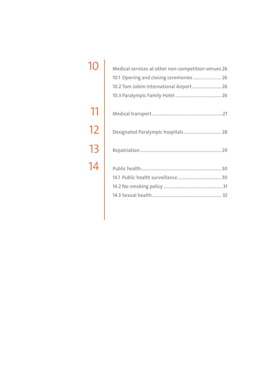| 11. |
|-----|
| 12  |
| 13  |
| 14  |

| Medical services at other non-competition venues 26 |  |
|-----------------------------------------------------|--|
| 10.1 Opening and closing ceremonies  26             |  |
| 10.2 Tom Jobim International Airport 26             |  |
|                                                     |  |
|                                                     |  |
| Designated Paralympic hospitals 28                  |  |
|                                                     |  |
|                                                     |  |
|                                                     |  |
|                                                     |  |
|                                                     |  |
|                                                     |  |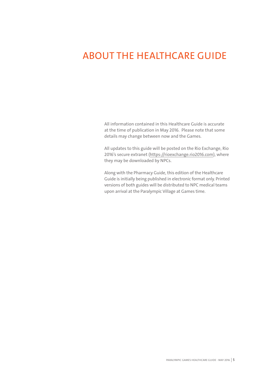#### <span id="page-4-0"></span>ABOUT THE HEALTHCARE GUIDE

All information contained in this Healthcare Guide is accurate at the time of publication in May 2016. Please note that some details may change between now and the Games.

All updates to this guide will be posted on the Rio Exchange, Rio 2016's secure extranet (<https://rioexchange.rio2016.com>), where they may be downloaded by NPCs.

Along with the Pharmacy Guide, this edition of the Healthcare Guide is initially being published in electronic format only. Printed versions of both guides will be distributed to NPC medical teams upon arrival at the Paralympic Village at Games time.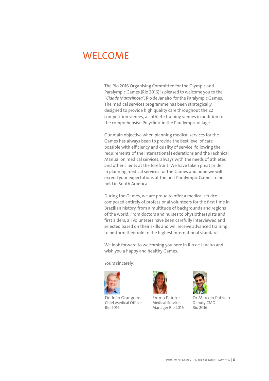#### <span id="page-5-0"></span>**WELCOME**

The Rio 2016 Organising Committee for the Olympic and Paralympic Games (Rio 2016) is pleased to welcome you to the "*Cidade Maravilhosa*", Rio de Janeiro, for the Paralympic Games. The medical services programme has been strategically designed to provide high quality care throughout the 22 competition venues, all athlete training venues in addition to the comprehensive Polyclinic in the Paralympic Village.

Our main objective when planning medical services for the Games has always been to provide the best level of care possible with efficiency and quality of service, following the requirements of the International Federations and the Technical Manual on medical services, always with the needs of athletes and other clients at the forefront. We have taken great pride in planning medical services for the Games and hope we will exceed your expectations at the first Paralympic Games to be held in South America.

During the Games, we are proud to offer a medical service composed entirely of professional volunteers for the first time in Brazilian history, from a multitude of backgrounds and regions of the world. From doctors and nurses to physiotherapists and first aiders, all volunteers have been carefully interviewed and selected based on their skills and will receive advanced training to perform their role to the highest international standard.

We look forward to welcoming you here in Rio de Janeiro and wish you a happy and healthy Games.

Yours sincerely,



Dr. João Grangeiro Chief Medical Officer Rio 2016



Emma Painter Medical Services Manager Rio 2016



Dr Marcelo Patricio Deputy CMO Rio 2016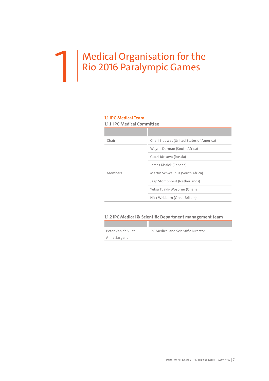## <span id="page-6-0"></span>Medical Organisation for the Medical Organisation for th<br>Rio 2016 Paralympic Games

#### **1.1 IPC Medical Team**

л

#### **1.1.1 IPC Medical Committee**

| Chair   | Cheri Blauwet (United States of America) |
|---------|------------------------------------------|
|         | Wayne Derman (South Africa)              |
|         | Guzel Idrisova (Russia)                  |
|         | James Kissick (Canada)                   |
| Members | Martin Schwellnus (South Africa)         |
|         | Jaap Stomphorst (Netherlands)            |
|         | Yetsa Tuakli-Wosornu (Ghana)             |
|         | Nick Webborn (Great Britain)             |

#### **1.1.2 IPC Medical & Scientific Department management team**

| Peter Van de Vliet | <b>IPC Medical and Scientific Director</b> |
|--------------------|--------------------------------------------|
| Anne Sargent       |                                            |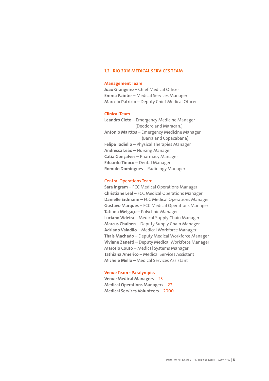#### <span id="page-7-0"></span>**1.2 RIO 2016 MEDICAL SERVICES TEAM**

#### **Management Team**

**João Grangeiro** – Chief Medical Officer **Emma Painter** – Medical Services Manager **Marcelo Patricio** – Deputy Chief Medical Officer

#### **Clinical Team**

**Leandro Cleto** – Emergency Medicine Manager (Deodoro and Maracan.) **Antonio Marttos** – Emergency Medicine Manager (Barra and Copacabana) **Felipe Tadiello** – Physical Therapies Manager **Andressa Leão** – Nursing Manager **Catia Gonçalves** – Pharmacy Manager **Eduardo Tinoco** – Dental Manager **Romulo Domingues** – Radiology Manager

#### Central Operations Team

**Sara Ingram** – FCC Medical Operations Manager **Christiane Leal** – FCC Medical Operations Manager **Danielle Erdmann** – FCC Medical Operations Manager **Gustavo Marques** – FCC Medical Operations Manager **Tatiana Melgaço** – Polyclinic Manager **Luciano Videira** – Medical Supply Chain Manager **Marcus Chaiben** – Deputy Supply Chain Manager **Adriano Valadão** – Medical Workforce Manager **Thais Machado** – Deputy Medical Workforce Manager **Viviane Zanetti** – Deputy Medical Workforce Manager **Marcelo Couto** – Medical Systems Manager **Tathiana Americo** – Medical Services Assistant **Michele Mello** – Medical Services Assistant

#### **Venue Team - Paralympics**

**Venue Medical Managers** – 25 **Medical Operations Managers** – 27 **Medical Services Volunteers** – 2000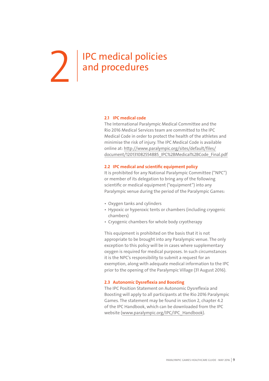## <span id="page-8-0"></span>THE MEDITIES 2 and procedures

#### **2.1 IPC medical code**

The International Paralympic Medical Committee and the Rio 2016 Medical Services team are committed to the IPC Medical Code in order to protect the health of the athletes and minimise the risk of injury. The IPC Medical Code is available online at: [http://www.paralympic.org/sites/default/files/](http://www.paralympic.org/sites/default/files/document/120131082554885_IPC%2BMedical%2BCode_Final.pdf) [document/120131082554885\\_IPC%2BMedical%2BCode\\_Final.pdf](http://www.paralympic.org/sites/default/files/document/120131082554885_IPC%2BMedical%2BCode_Final.pdf)

#### **2.2 IPC medical and scientific equipment policy**

It is prohibited for any National Paralympic Committee ("NPC") or member of its delegation to bring any of the following scientific or medical equipment ("equipment") into any Paralympic venue during the period of the Paralympic Games:

- Oxygen tanks and cylinders
- Hypoxic or hyperoxic tents or chambers (including cryogenic chambers)
- Cryogenic chambers for whole body cryotherapy

This equipment is prohibited on the basis that it is not appropriate to be brought into any Paralympic venue. The only exception to this policy will be in cases where supplementary oxygen is required for medical purposes. In such circumstances it is the NPC's responsibility to submit a request for an exemption, along with adequate medical information to the IPC prior to the opening of the Paralympic Village (31 August 2016).

#### **2.3 Autonomic Dysreflexia and Boosting**

The IPC Position Statement on Autonomic Dysreflexia and Boosting will apply to all participants at the Rio 2016 Paralympic Games. The statement may be found in section 2, chapter 4.2 of the IPC Handbook, which can be downloaded from the IPC website [\(www.paralympic.org/IPC/IPC\\_Handbook\)](http://www.paralympic.org/IPC/IPC_Handbook).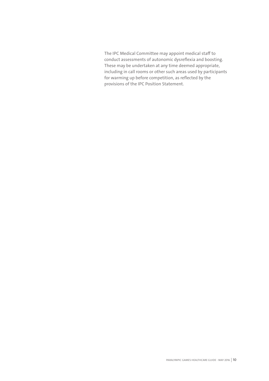The IPC Medical Committee may appoint medical staff to conduct assessments of autonomic dysreflexia and boosting. These may be undertaken at any time deemed appropriate, including in call rooms or other such areas used by participants for warming up before competition, as reflected by the provisions of the IPC Position Statement.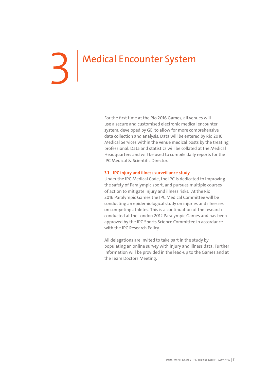# <span id="page-10-0"></span>**Medical Encounter System**

For the first time at the Rio 2016 Games, all venues will use a secure and customised electronic medical encounter system, developed by GE, to allow for more comprehensive data collection and analysis. Data will be entered by Rio 2016 Medical Services within the venue medical posts by the treating professional. Data and statistics will be collated at the Medical Headquarters and will be used to compile daily reports for the IPC Medical & Scientific Director.

#### **3.1 IPC injury and illness surveillance study**

Under the IPC Medical Code, the IPC is dedicated to improving the safety of Paralympic sport, and pursues multiple courses of action to mitigate injury and illness risks. At the Rio 2016 Paralympic Games the IPC Medical Committee will be conducting an epidemiological study on injuries and illnesses on competing athletes. This is a continuation of the research conducted at the London 2012 Paralympic Games and has been approved by the IPC Sports Science Committee in accordance with the IPC Research Policy.

All delegations are invited to take part in the study by populating an online survey with injury and illness data. Further information will be provided in the lead-up to the Games and at the Team Doctors Meeting.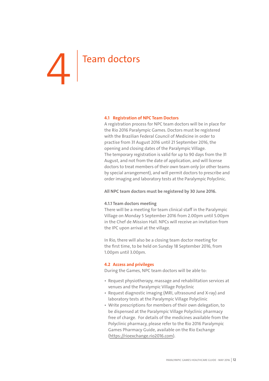# <span id="page-11-0"></span> $\sqrt{ }$  Team doctors

#### **4.1 Registration of NPC Team Doctors**

A registration process for NPC team doctors will be in place for the Rio 2016 Paralympic Games. Doctors must be registered with the Brazilian Federal Council of Medicine in order to practise from 31 August 2016 until 21 September 2016, the opening and closing dates of the Paralympic Village. The temporary registration is valid for up to 90 days from the 31 August, and not from the date of application, and will license doctors to treat members of their own team only (or other teams by special arrangement), and will permit doctors to prescribe and order imaging and laboratory tests at the Paralympic Polyclinic.

**All NPC team doctors must be registered by 30 June 2016.**

#### **4.1.1 Team doctors meeting**

There will be a meeting for team clinical staff in the Paralympic Village on Monday 5 September 2016 from 2.00pm until 5.00pm in the Chef de Mission Hall. NPCs will receive an invitation from the IPC upon arrival at the village.

In Rio, there will also be a closing team doctor meeting for the first time, to be held on Sunday 18 September 2016, from 1.00pm until 3.00pm.

#### **4.2 Access and privileges**

During the Games, NPC team doctors will be able to:

- Request physiotherapy, massage and rehabilitation services at venues and the Paralympic Village Polyclinic
- Request diagnostic imaging (MRI, ultrasound and X-ray) and laboratory tests at the Paralympic Village Polyclinic
- Write prescriptions for members of their own delegation, to be dispensed at the Paralympic Village Polyclinic pharmacy free of charge. For details of the medicines available from the Polyclinic pharmacy, please refer to the Rio 2016 Paralympic Games Pharmacy Guide, available on the Rio Exchange ([https://rioexchange.rio2016.com\)](https://rioexchange.rio2016.com).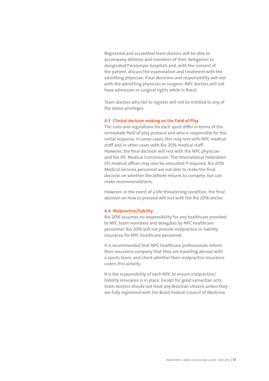<span id="page-12-0"></span>Registered and accredited team doctors will be able to accompany athletes and members of their delegation to designated Paralympic hospitals and, with the consent of the patient, discuss the examination and treatment with the admitting physician. Final decisions and responsibility will rest with the admitting physician or surgeon. NPC doctors will not have admission or surgical rights while in Brazil.

Team doctors who fail to register will not be entitled to any of the above privileges.

#### **4.3 Clinical decision making on the Field of Play**

The rules and regulations for each sport differ in terms of the immediate field of play protocol and who is responsible for the initial response. In some cases, this may rest with NPC medical staff and in other cases with Rio 2016 medical staff. However, the final decision will rest with the NPC physician and the IPC Medical Commission. The International Federation (IF) medical officer may also be consulted if required. Rio 2016 Medical Services personnel are not able to make the final decision on whether the athlete returns to compete, but can make recommendations.

However, in the event of a life-threatening condition, the final decision on how to proceed will rest with the Rio 2016 doctor.

#### **4.4 Malpractice/liability**

Rio 2016 assumes no responsibility for any healthcare provided to NPC team members and delegates by NPC healthcare personnel. Rio 2016 will not provide malpractice or liability insurance for NPC healthcare personnel.

It is recommended that NPC healthcare professionals inform their insurance company that they are travelling abroad with a sports team, and check whether their malpractice insurance covers this activity.

It is the responsibility of each NPC to ensure malpractice/ liability insurance is in place. Except for good samaritan acts, team doctors should not treat any Brazilian citizens unless they are fully registered with the Brazil Federal Council of Medicine.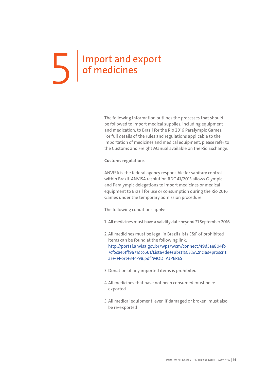## <span id="page-13-0"></span>Import and export<br>
of medicines

The following information outlines the processes that should be followed to import medical supplies, including equipment and medication, to Brazil for the Rio 2016 Paralympic Games. For full details of the rules and regulations applicable to the importation of medicines and medical equipment, please refer to the Customs and Freight Manual available on the Rio Exchange.

#### **Customs regulations**

ANVISA is the federal agency responsible for sanitary control within Brazil. ANVISA resolution RDC 41/2015 allows Olympic and Paralympic delegations to import medicines or medical equipment to Brazil for use or consumption during the Rio 2016 Games under the temporary admission procedure.

The following conditions apply:

- 1. All medicines must have a validity date beyond 21 September 2016
- 2.All medicines must be legal in Brazil (lists E&F of prohibited items can be found at the following link: [http://portal.anvisa.gov.br/wps/wcm/connect/49d5ae804fb](http://portal.anvisa.gov.br/wps/wcm/connect/49d5ae804fb7cf5cae51ff9a71dcc661/Lista+de+subst%C3%A2ncias+proscritas+-+Port+344-98.pdf?MOD=AJPERES) [7cf5cae51ff9a71dcc661/Lista+de+subst%C3%A2ncias+proscrit](http://portal.anvisa.gov.br/wps/wcm/connect/49d5ae804fb7cf5cae51ff9a71dcc661/Lista+de+subst%C3%A2ncias+proscritas+-+Port+344-98.pdf?MOD=AJPERES) [as+-+Port+344-98.pdf?MOD=AJPERES](http://portal.anvisa.gov.br/wps/wcm/connect/49d5ae804fb7cf5cae51ff9a71dcc661/Lista+de+subst%C3%A2ncias+proscritas+-+Port+344-98.pdf?MOD=AJPERES)
- 3.Donation of any imported items is prohibited
- 4.All medicines that have not been consumed must be reexported
- 5. All medical equipment, even if damaged or broken, must also be re-exported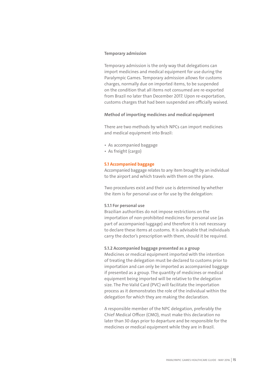#### <span id="page-14-0"></span>**Temporary admission**

Temporary admission is the only way that delegations can import medicines and medical equipment for use during the Paralympic Games. Temporary admission allows for customs charges, normally due on imported items, to be suspended on the condition that all items not consumed are re-exported from Brazil no later than December 2017. Upon re-exportation, customs charges that had been suspended are officially waived.

#### **Method of importing medicines and medical equipment**

There are two methods by which NPCs can import medicines and medical equipment into Brazil:

- As accompanied baggage
- As freight (cargo)

#### **5.1 Accompanied baggage**

Accompanied baggage relates to any item brought by an individual to the airport and which travels with them on the plane.

Two procedures exist and their use is determined by whether the item is for personal use or for use by the delegation:

#### **5.1.1 For personal use**

Brazilian authorities do not impose restrictions on the importation of non-prohibited medicines for personal use (as part of accompanied luggage) and therefore it is not necessary to declare these items at customs. It is advisable that individuals carry the doctor's prescription with them, should it be required.

#### **5.1.2 Accompanied baggage presented as a group**

Medicines or medical equipment imported with the intention of treating the delegation must be declared to customs prior to importation and can only be imported as accompanied baggage if presented as a group. The quantity of medicines or medical equipment being imported will be relative to the delegation size. The Pre-Valid Card (PVC) will facilitate the importation process as it demonstrates the role of the individual within the delegation for which they are making the declaration.

A responsible member of the NPC delegation, preferably the Chief Medical Officer (CMO), must make this declaration no later than 30 days prior to departure and be responsible for the medicines or medical equipment while they are in Brazil.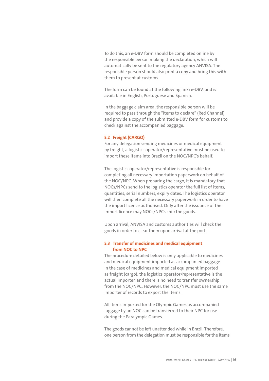<span id="page-15-0"></span>To do this, an e-DBV form should be completed online by the responsible person making the declaration, which will automatically be sent to the regulatory agency ANVISA. The responsible person should also print a copy and bring this with them to present at customs.

The form can be found at the following link: e-DBV, and is available in English, Portuguese and Spanish.

In the baggage claim area, the responsible person will be required to pass through the "items to declare" (Red Channel) and provide a copy of the submitted e-DBV form for customs to check against the accompanied baggage.

#### **5.2 Freight (CARGO)**

For any delegation sending medicines or medical equipment by freight, a logistics operator/representative must be used to import these items into Brazil on the NOC/NPC's behalf.

The logistics operator/representative is responsible for completing all necessary importation paperwork on behalf of the NOC/NPC. When preparing the cargo, it is mandatory that NOCs/NPCs send to the logistics operator the full list of items, quantities, serial numbers, expiry dates. The logistics operator will then complete all the necessary paperwork in order to have the import licence authorised. Only after the issuance of the import licence may NOCs/NPCs ship the goods.

Upon arrival, ANVISA and customs authorities will check the goods in order to clear them upon arrival at the port.

#### **5.3 Transfer of medicines and medical equipment from NOC to NPC**

The procedure detailed below is only applicable to medicines and medical equipment imported as accompanied baggage. In the case of medicines and medical equipment imported as freight (cargo), the logistics operator/representative is the actual importer, and there is no need to transfer ownership from the NOC/NPC. However, the NOC/NPC must use the same importer of records to export the items.

All items imported for the Olympic Games as accompanied luggage by an NOC can be transferred to their NPC for use during the Paralympic Games.

The goods cannot be left unattended while in Brazil. Therefore, one person from the delegation must be responsible for the items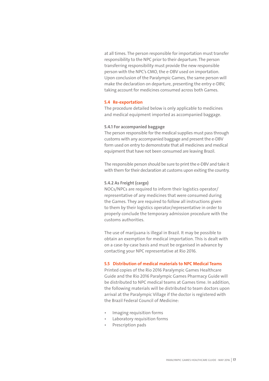<span id="page-16-0"></span>at all times. The person responsible for importation must transfer responsibility to the NPC prior to their departure. The person transferring responsibility must provide the new responsible person with the NPC's CMO, the e-DBV used on importation. Upon conclusion of the Paralympic Games, the same person will make the declaration on departure, presenting the entry e-DBV, taking account for medicines consumed across both Games.

#### **5.4 Re-exportation**

The procedure detailed below is only applicable to medicines and medical equipment imported as accompanied baggage.

#### **5.4.1 For accompanied baggage**

The person responsible for the medical supplies must pass through customs with any accompanied baggage and present the e-DBV form used on entry to demonstrate that all medicines and medical equipment that have not been consumed are leaving Brazil.

The responsible person should be sure to print the e-DBV and take it with them for their declaration at customs upon exiting the country.

#### **5.4.2 As Freight (cargo)**

NOCs/NPCs are required to inform their logistics operator/ representative of any medicines that were consumed during the Games. They are required to follow all instructions given to them by their logistics operator/representative in order to properly conclude the temporary admission procedure with the customs authorities.

The use of marijuana is illegal in Brazil. It may be possible to obtain an exemption for medical importation. This is dealt with on a case-by-case basis and must be organised in advance by contacting your NPC representative at Rio 2016.

#### **5.5 Distribution of medical materials to NPC Medical Teams**

Printed copies of the Rio 2016 Paralympic Games Healthcare Guide and the Rio 2016 Paralympic Games Pharmacy Guide will be distributed to NPC medical teams at Games time. In addition, the following materials will be distributed to team doctors upon arrival at the Paralympic Village if the doctor is registered with the Brazil Federal Council of Medicine:

- Imaging requisition forms
- Laboratory requisition forms
- Prescription pads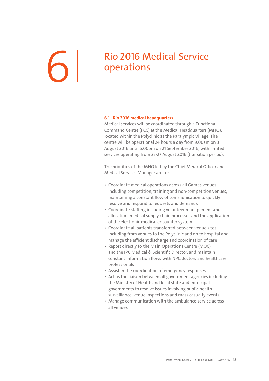## <span id="page-17-0"></span>Rio 2016 Medical Service<br>operations

#### **6.1 Rio 2016 medical headquarters**

Medical services will be coordinated through a Functional Command Centre (FCC) at the Medical Headquarters (MHQ), located within the Polyclinic at the Paralympic Village. The centre will be operational 24 hours a day from 9.00am on 31 August 2016 until 6.00pm on 21 September 2016, with limited services operating from 25-27 August 2016 (transition period).

The priorities of the MHQ led by the Chief Medical Officer and Medical Services Manager are to:

- Coordinate medical operations across all Games venues including competition, training and non-competition venues, maintaining a constant flow of communication to quickly resolve and respond to requests and demands
- Coordinate staffing including volunteer management and allocation, medical supply chain processes and the application of the electronic medical encounter system
- Coordinate all patients transferred between venue sites including from venues to the Polyclinic and on to hospital and manage the efficient discharge and coordination of care
- Report directly to the Main Operations Centre (MOC) and the IPC Medical & Scientific Director, and maintain constant information flows with NPC doctors and healthcare professionals
- Assist in the coordination of emergency responses
- Act as the liaison between all government agencies including the Ministry of Health and local state and municipal governments to resolve issues involving public health surveillance, venue inspections and mass casualty events
- Manage communication with the ambulance service across all venues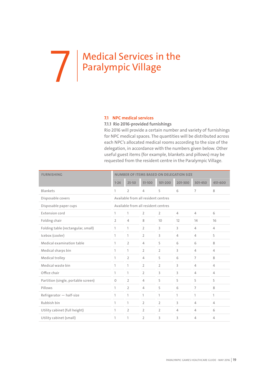## <span id="page-18-0"></span>Medical Services in the Paralympic Village

#### **7.1 NPC medical services**

#### **7.1.1 Rio 2016-provided furnishings**

Rio 2016 will provide a certain number and variety of furnishings for NPC medical spaces. The quantities will be distributed across each NPC's allocated medical rooms according to the size of the delegation, in accordance with the numbers given below. Other useful guest items (for example, blankets and pillows) may be requested from the resident centre in the Paralympic Village.

| <b>FURNISHING</b>                   | <b>NUMBER OF ITEMS BASED ON DELEGATION SIZE</b> |                |                                     |                |                |                |                |  |
|-------------------------------------|-------------------------------------------------|----------------|-------------------------------------|----------------|----------------|----------------|----------------|--|
|                                     | $1 - 24$                                        | $25 - 50$      | $51 - 100$                          | 101-200        | 201-300        | 301-450        | 451-600        |  |
| <b>Blankets</b>                     | 1                                               | $\overline{2}$ | $\overline{4}$                      | 5              | 6              | 7              | 8              |  |
| Disposable covers                   |                                                 |                | Available from all resident centres |                |                |                |                |  |
| Disposable paper cups               |                                                 |                | Available from all resident centres |                |                |                |                |  |
| <b>Extension cord</b>               | $\mathbf{1}$                                    | 1              | $\overline{2}$                      | 2              | $\overline{4}$ | $\overline{4}$ | 6              |  |
| Folding chair                       | $\overline{2}$                                  | $\overline{4}$ | 8                                   | 10             | 12             | 14             | 16             |  |
| Folding table (rectangular, small)  | 1                                               | 1              | $\overline{2}$                      | $\overline{3}$ | 3              | $\overline{4}$ | $\overline{4}$ |  |
| Icebox (cooler)                     | $\mathbf{1}$                                    | 1              | $\overline{2}$                      | 3              | $\overline{4}$ | $\overline{4}$ | 5              |  |
| Medical examination table           | 1                                               | $\overline{2}$ | $\overline{4}$                      | 5              | 6              | 6              | 8              |  |
| Medical sharps bin                  | 1                                               | 1              | $\overline{2}$                      | $\overline{2}$ | 3              | $\overline{4}$ | $\overline{4}$ |  |
| Medical trolley                     | 1                                               | $\overline{2}$ | $\overline{4}$                      | 5              | 6              | 7              | 8              |  |
| Medical waste bin                   | $\mathbf{1}$                                    | 1              | $\overline{2}$                      | $\overline{2}$ | 3              | $\overline{4}$ | $\overline{4}$ |  |
| Office chair                        | $\mathbf{1}$                                    | 1              | $\overline{2}$                      | 3              | 3              | $\overline{4}$ | $\overline{4}$ |  |
| Partition (single, portable screen) | $\circ$                                         | $\overline{2}$ | $\overline{4}$                      | 5              | 5              | 5              | 5              |  |
| Pillows                             | 1                                               | $\overline{2}$ | $\overline{4}$                      | 5              | 6              | 7              | 8              |  |
| Refrigerator - half-size            | 1                                               | 1              | 1                                   | $\mathbf{1}$   | 1              | 1              | 1              |  |
| Rubbish bin                         | 1                                               | 1              | $\overline{2}$                      | $\overline{2}$ | 3              | $\overline{4}$ | $\overline{4}$ |  |
| Utility cabinet (full height)       | 1                                               | $\overline{2}$ | $\overline{2}$                      | $\overline{2}$ | $\overline{4}$ | $\overline{4}$ | 6              |  |
| Utility cabinet (small)             | 1                                               | 1              | $\overline{2}$                      | 3              | 3              | 4              | $\overline{4}$ |  |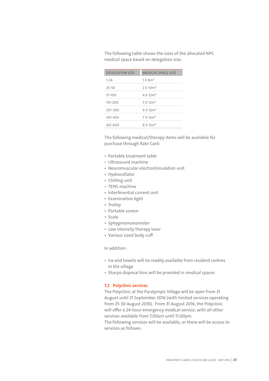<span id="page-19-0"></span>The following table shows the sizes of the allocated NPC medical space based on delegation size:

| <b>DELEGATION SIZE</b> | <b>MEDICAL SPACE SIZE</b> |
|------------------------|---------------------------|
| $1 - 24$               | 1X8m <sup>2</sup>         |
| $25 - 50$              | 2 X 10 m <sup>2</sup>     |
| 51-100                 | $4 \times 12 \text{ m}^2$ |
| 101-200                | $5 \times 12 \text{ m}^2$ |
| 201-300                | $6 \times 12 \text{ m}^2$ |
| 301-450                | $7 \times 12 \text{ m}^2$ |
| 451-600                | $8 \times 12 \text{ m}^2$ |
|                        |                           |

The following medical/therapy items will be available for purchase through Rate Card:

- Portable treatment table
- Ultrasound machine
- Neuromuscular electrostimulation unit
- Hydrocollator
- Chilling unit
- TENS machine
- Interferential current unit
- Examination light
- Trolley
- Portable screen
- Scale
- Sphygmomanometer
- Low intensity therapy laser
- Various sized body cuff

#### In addition:

- Ice and towels will be readily available from resident centres in the village
- Sharps disposal bins will be provided in medical spaces

#### **7.2 Polyclinic services**

The Polyclinic at the Paralympic Village will be open from 31 August until 21 September 2016 (with limited services operating from 25-30 August 2016). From 31 August 2016, the Polyclinic will offer a 24-hour emergency medical service, with all other services available from 7.00am until 11.00pm.

The following services will be available, or there will be access to services as follows: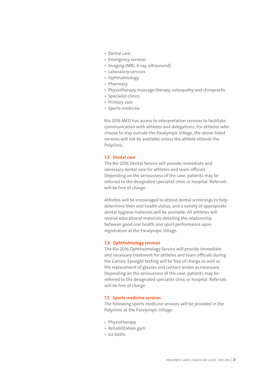- <span id="page-20-0"></span>• Dental care
- Emergency services
- Imaging (MRI, X-ray, ultrasound)
- Laboratory services
- Ophthalmology
- Pharmacy
- Physiotherapy, massage therapy, osteopathy and chiropractic
- Specialist clinics
- Primary care
- Sports medicine

Rio 2016 MED has access to interpretation services to facilitate communication with athletes and delegations. For athletes who choose to stay outside the Paralympic Village, the above listed services will not be available unless the athlete attends the Polyclinic.

#### **7.3 Dental care**

The Rio 2016 Dental Service will provide immediate and necessary dental care for athletes and team officials. Depending on the seriousness of the case, patients may be referred to the designated specialist clinic or hospital. Referrals will be free of charge.

Athletes will be encouraged to attend dental screenings to help determine their oral health status, and a variety of appropriate dental hygiene materials will be available. All athletes will receive educational materials detailing the relationship between good oral health and sport performance upon registration at the Paralympic Village.

#### **7.4 Ophthalmology services**

The Rio 2016 Ophthalmology Service will provide immediate and necessary treatment for athletes and team officials during the Games. Eyesight testing will be free of charge as well as the replacement of glasses and contact lenses as necessary. Depending on the seriousness of the case, patients may be referred to the designated specialist clinic or hospital. Referrals will be free of charge.

#### **7.5 Sports medicine services**

The following sports medicine services will be provided in the Polyclinic at the Paralympic Village:

- Physiotherapy
- Rehabilitation gym
- Ice baths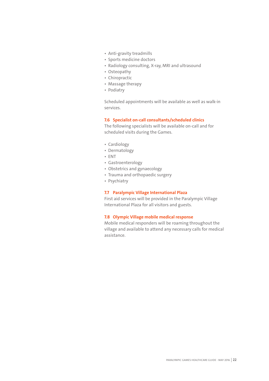- <span id="page-21-0"></span>• Anti-gravity treadmills
- Sports medicine doctors
- Radiology consulting, X-ray, MRI and ultrasound
- Osteopathy
- Chiropractic
- Massage therapy
- Podiatry

Scheduled appointments will be available as well as walk-in services.

#### **7.6 Specialist on-call consultants/scheduled clinics**

The following specialists will be available on-call and for scheduled visits during the Games.

- Cardiology
- Dermatology
- ENT
- Gastroenterology
- Obstetrics and gynaecology
- Trauma and orthopaedic surgery
- Psychiatry

#### **7.7 Paralympic Village International Plaza**

First aid services will be provided in the Paralympic Village International Plaza for all visitors and guests.

#### **7.8 Olympic Village mobile medical response**

Mobile medical responders will be roaming throughout the village and available to attend any necessary calls for medical assistance.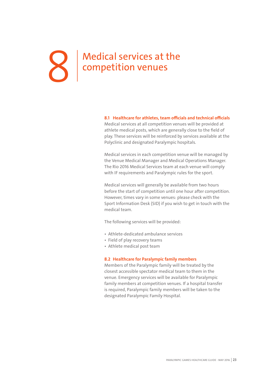## <span id="page-22-0"></span>**8 Medical services at the competition venues**

**8.1 Healthcare for athletes, team officials and technical officials**

Medical services at all competition venues will be provided at athlete medical posts, which are generally close to the field of play. These services will be reinforced by services available at the Polyclinic and designated Paralympic hospitals.

Medical services in each competition venue will be managed by the Venue Medical Manager and Medical Operations Manager. The Rio 2016 Medical Services team at each venue will comply with IF requirements and Paralympic rules for the sport.

Medical services will generally be available from two hours before the start of competition until one hour after competition. However, times vary in some venues: please check with the Sport Information Desk (SID) if you wish to get in touch with the medical team.

The following services will be provided:

- Athlete-dedicated ambulance services
- Field of play recovery teams
- Athlete medical post team

#### **8.2 Healthcare for Paralympic family members**

Members of the Paralympic family will be treated by the closest accessible spectator medical team to them in the venue. Emergency services will be available for Paralympic family members at competition venues. If a hospital transfer is required, Paralympic family members will be taken to the designated Paralympic Family Hospital.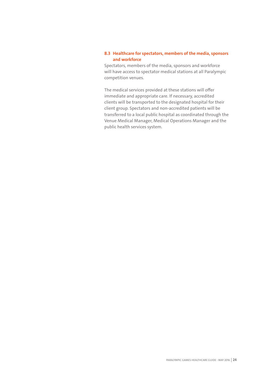#### <span id="page-23-0"></span>**8.3 Healthcare for spectators, members of the media, sponsors and workforce**

Spectators, members of the media, sponsors and workforce will have access to spectator medical stations at all Paralympic competition venues.

The medical services provided at these stations will offer immediate and appropriate care. If necessary, accredited clients will be transported to the designated hospital for their client group. Spectators and non-accredited patients will be transferred to a local public hospital as coordinated through the Venue Medical Manager, Medical Operations Manager and the public health services system.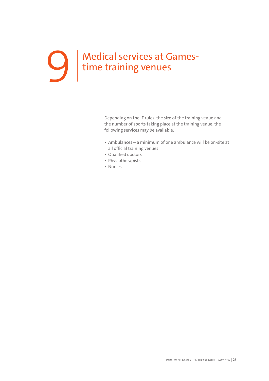## <span id="page-24-0"></span>**O** Medical services at Games-<br>time training venues

Depending on the IF rules, the size of the training venue and the number of sports taking place at the training venue, the following services may be available:

- Ambulances a minimum of one ambulance will be on-site at all official training venues
- Qualified doctors
- Physiotherapists
- Nurses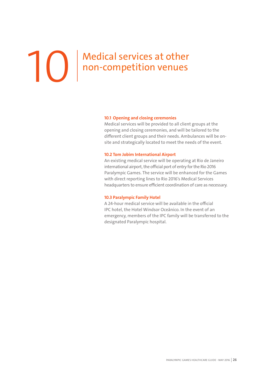## <span id="page-25-0"></span>Medical services at other **non-competition venues 100 mon-competition venues**

#### **10.1 Opening and closing ceremonies**

Medical services will be provided to all client groups at the opening and closing ceremonies, and will be tailored to the different client groups and their needs. Ambulances will be onsite and strategically located to meet the needs of the event.

#### **10.2 Tom Jobim International Airport**

An existing medical service will be operating at Rio de Janeiro international airport, the official port of entry for the Rio 2016 Paralympic Games. The service will be enhanced for the Games with direct reporting lines to Rio 2016's Medical Services headquarters to ensure efficient coordination of care as necessary.

#### **10.3 Paralympic Family Hotel**

A 24-hour medical service will be available in the official IPC hotel, the Hotel Windsor Oceânico. In the event of an emergency, members of the IPC family will be transferred to the designated Paralympic hospital.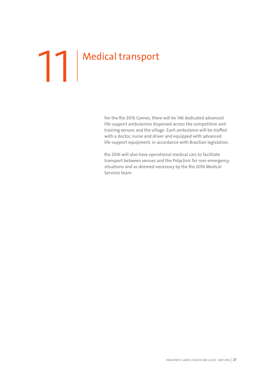# <span id="page-26-0"></span>Table 1 Medical transport

For the Rio 2016 Games, there will be 146 dedicated advanced life-support ambulances dispersed across the competition and training venues and the village. Each ambulance will be staffed with a doctor, nurse and driver and equipped with advanced life-support equipment, in accordance with Brazilian legislation.

Rio 2016 will also have operational medical cars to facilitate transport between venues and the Polyclinic for non-emergency situations and as deemed necessary by the Rio 2016 Medical Services team.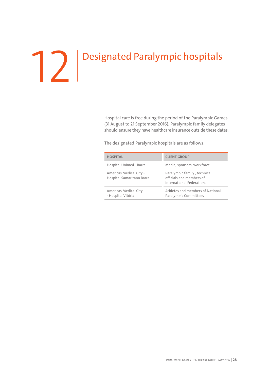# <span id="page-27-0"></span> $\begin{array}{|c|c|} \hline \rule{0pt}{12pt} \rule{0pt}{2pt} \rule{0pt}{2pt} \rule{0pt}{2pt} \rule{0pt}{2pt} \rule{0pt}{2pt} \rule{0pt}{2pt} \rule{0pt}{2pt} \rule{0pt}{2pt} \rule{0pt}{2pt} \rule{0pt}{2pt} \rule{0pt}{2pt} \rule{0pt}{2pt} \rule{0pt}{2pt} \rule{0pt}{2pt} \rule{0pt}{2pt} \rule{0pt}{2pt} \rule{0pt}{2pt} \rule{0pt}{2pt} \rule{0pt}{2pt} \rule{0pt}{2pt} \rule{0pt}{2pt} \rule{0pt}{2pt$

Hospital care is free during the period of the Paralympic Games (31 August to 21 September 2016). Paralympic family delegates should ensure they have healthcare insurance outside these dates.

The designated Paralympic hospitals are as follows:

| <b>HOSPITAL</b>                                      | <b>CLIENT GROUP</b>                                                                   |
|------------------------------------------------------|---------------------------------------------------------------------------------------|
| Hospital Unimed - Barra                              | Media, sponsors, workforce                                                            |
| Americas Medical City -<br>Hospital Samaritano Barra | Paralympic family, technical<br>officials and members of<br>International Federations |
| Americas Medical City<br>- Hospital Vitória          | Athletes and members of National<br>Paralympic Committees                             |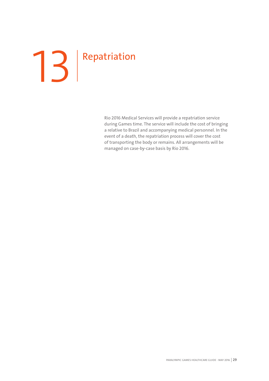# <span id="page-28-0"></span>13 Repatriation

Rio 2016 Medical Services will provide a repatriation service during Games time. The service will include the cost of bringing a relative to Brazil and accompanying medical personnel. In the event of a death, the repatriation process will cover the cost of transporting the body or remains. All arrangements will be managed on case-by-case basis by Rio 2016.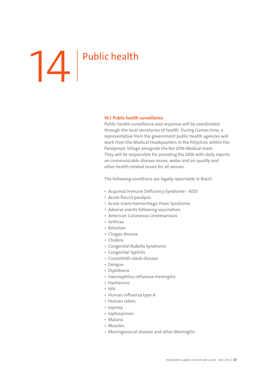# <span id="page-29-0"></span>**14** Public health

#### **14.1 Public health surveillance**

Public health surveillance and response will be coordinated through the local secretaries of health. During Games time, a representative from the government public health agencies will work from the Medical Headquarters in the Polyclinic within the Paralympic Village alongside the Rio 2016 Medical team. They will be responsible for providing Rio 2016 with daily reports on communicable disease issues, water and air quality and other health-related issues for all venues.

The following conditions are legally reportable in Brazil:

- Acquired Immune Deficiency Syndrome AIDS
- Acute flaccid paralysis
- Acute Ictero-hemorrhagic Fever Syndrome
- Adverse events following vaccination
- American Cutaneous Leishmaniasis
- Anthrax
- Botulism
- Chagas disease
- Cholera
- Congenital Rubella Syndrome
- Congenital Syphilis
- Creutzfeldt-Jakob disease
- Dengue
- Diphtheria
- Haemophilus influenza meningitis
- Hantavirus
- HIV
- Human influenza type A
- Human rabies
- Leprosy
- Leptospirosis
- Malaria
- Measles
- Meningococcal disease and other Meningitis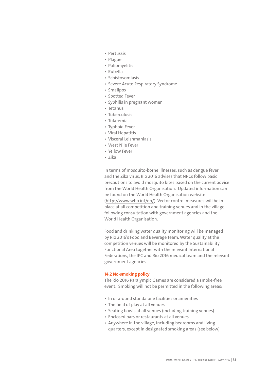- <span id="page-30-0"></span>• Pertussis
- Plague
- Poliomyelitis
- Rubella
- Schistosomiasis
- Severe Acute Respiratory Syndrome
- Smallpox
- Spotted Fever
- Syphilis in pregnant women
- Tetanus
- Tuberculosis
- Tularemia
- Typhoid Fever
- Viral Hepatitis
- Visceral Leishmaniasis
- West Nile Fever
- Yellow Fever
- Zika

In terms of mosquito-borne illnesses, such as dengue fever and the Zika virus, Rio 2016 advises that NPCs follow basic precautions to avoid mosquito bites based on the current advice from the World Health Organisation. Updated information can be found on the World Health Organisation website [\(http://www.who.int/en/](http://www.who.int/en/)). Vector control measures will be in place at all competition and training venues and in the village following consultation with government agencies and the World Health Organisation.

Food and drinking water quality monitoring will be managed by Rio 2016's Food and Beverage team. Water quality at the competition venues will be monitored by the Sustainability Functional Area together with the relevant International Federations, the IPC and Rio 2016 medical team and the relevant government agencies.

#### **14.2 No-smoking policy**

The Rio 2016 Paralympic Games are considered a smoke-free event. Smoking will not be permitted in the following areas:

- In or around standalone facilities or amenities
- The field of play at all venues
- Seating bowls at all venues (including training venues)
- Enclosed bars or restaurants at all venues
- Anywhere in the village, including bedrooms and living quarters, except in designated smoking areas (see below)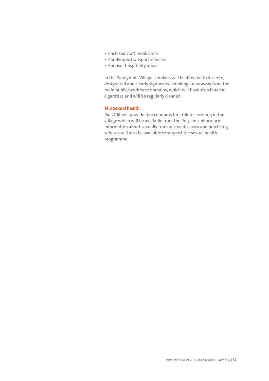- <span id="page-31-0"></span>• Enclosed staff break areas
- Paralympic transport vehicles
- Sponsor hospitality areas

In the Paralympic Village, smokers will be directed to discrete, designated and clearly signposted smoking areas away from the main public/workforce domains, which will have stub bins for cigarettes and will be regularly cleaned.

#### **14.3 Sexual health**

Rio 2016 will provide free condoms for athletes residing in the village which will be available from the Polyclinic pharmacy. Information about sexually transmitted diseases and practising safe sex will also be available to support the sexual health programme.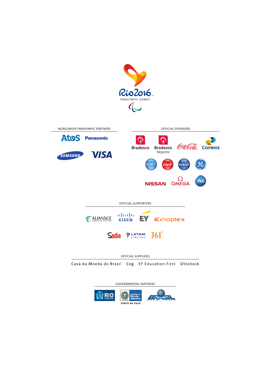